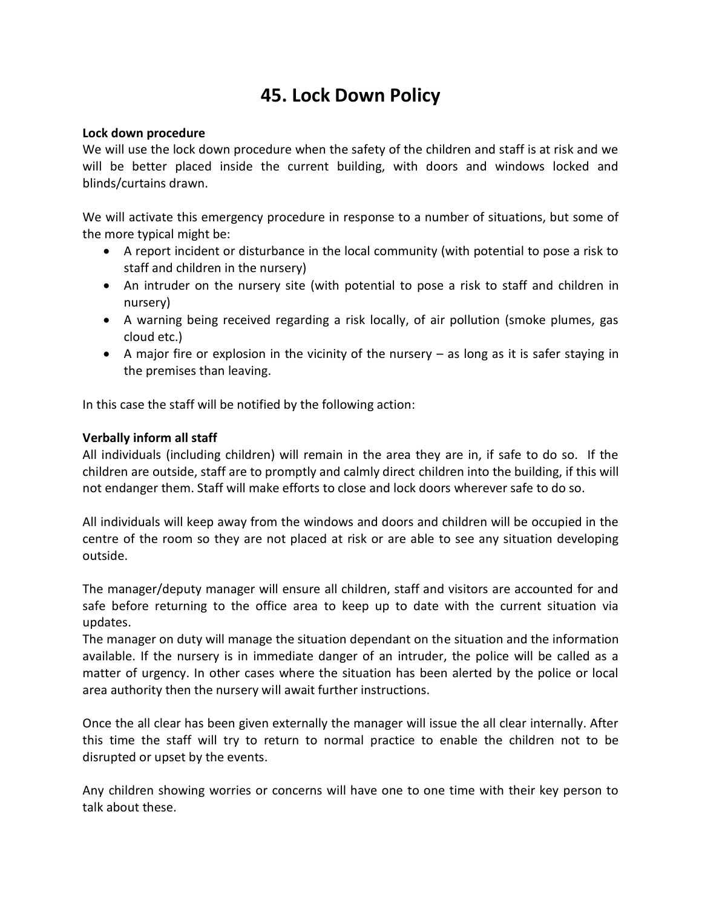## **45. Lock Down Policy**

## **Lock down procedure**

We will use the lock down procedure when the safety of the children and staff is at risk and we will be better placed inside the current building, with doors and windows locked and blinds/curtains drawn.

We will activate this emergency procedure in response to a number of situations, but some of the more typical might be:

- A report incident or disturbance in the local community (with potential to pose a risk to staff and children in the nursery)
- An intruder on the nursery site (with potential to pose a risk to staff and children in nursery)
- A warning being received regarding a risk locally, of air pollution (smoke plumes, gas cloud etc.)
- A major fire or explosion in the vicinity of the nursery  $-$  as long as it is safer staying in the premises than leaving.

In this case the staff will be notified by the following action:

## **Verbally inform all staff**

All individuals (including children) will remain in the area they are in, if safe to do so. If the children are outside, staff are to promptly and calmly direct children into the building, if this will not endanger them. Staff will make efforts to close and lock doors wherever safe to do so.

All individuals will keep away from the windows and doors and children will be occupied in the centre of the room so they are not placed at risk or are able to see any situation developing outside.

The manager/deputy manager will ensure all children, staff and visitors are accounted for and safe before returning to the office area to keep up to date with the current situation via updates.

The manager on duty will manage the situation dependant on the situation and the information available. If the nursery is in immediate danger of an intruder, the police will be called as a matter of urgency. In other cases where the situation has been alerted by the police or local area authority then the nursery will await further instructions.

Once the all clear has been given externally the manager will issue the all clear internally. After this time the staff will try to return to normal practice to enable the children not to be disrupted or upset by the events.

Any children showing worries or concerns will have one to one time with their key person to talk about these.